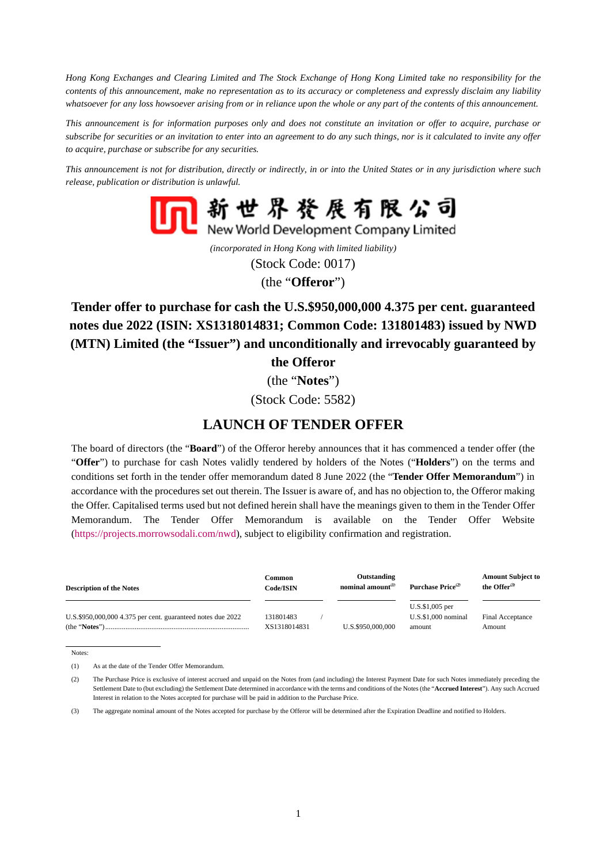*Hong Kong Exchanges and Clearing Limited and The Stock Exchange of Hong Kong Limited take no responsibility for the contents of this announcement, make no representation as to its accuracy or completeness and expressly disclaim any liability whatsoever for any loss howsoever arising from or in reliance upon the whole or any part of the contents of this announcement.* 

*This announcement is for information purposes only and does not constitute an invitation or offer to acquire, purchase or subscribe for securities or an invitation to enter into an agreement to do any such things, nor is it calculated to invite any offer to acquire, purchase or subscribe for any securities.* 

*This announcement is not for distribution, directly or indirectly, in or into the United States or in any jurisdiction where such release, publication or distribution is unlawful.* 



*(incorporated in Hong Kong with limited liability)*  (Stock Code: 0017) (the "**Offeror**")

**Tender offer to purchase for cash the U.S.\$950,000,000 4.375 per cent. guaranteed notes due 2022 (ISIN: XS1318014831; Common Code: 131801483) issued by NWD (MTN) Limited (the "Issuer") and unconditionally and irrevocably guaranteed by** 

**the Offeror** 

(the "**Notes**")

(Stock Code: 5582)

# **LAUNCH OF TENDER OFFER**

The board of directors (the "**Board**") of the Offeror hereby announces that it has commenced a tender offer (the "**Offer**") to purchase for cash Notes validly tendered by holders of the Notes ("**Holders**") on the terms and conditions set forth in the tender offer memorandum dated 8 June 2022 (the "**Tender Offer Memorandum**") in accordance with the procedures set out therein. The Issuer is aware of, and has no objection to, the Offeror making the Offer. Capitalised terms used but not defined herein shall have the meanings given to them in the Tender Offer Memorandum. The Tender Offer Memorandum is available on the Tender Offer Website [\(https://projects.morrowsodali.com/nwd\)](https://projects.morrowsodali.com/nwd), subject to eligibility confirmation and registration.

| <b>Description of the Notes</b>                             | Common<br>Code/ISIN       | Outstanding<br>nominal amount <sup>(1)</sup> | Purchase Price <sup>(2)</sup>                         | <b>Amount Subject to</b><br>the Offer <sup>(3)</sup> |
|-------------------------------------------------------------|---------------------------|----------------------------------------------|-------------------------------------------------------|------------------------------------------------------|
| U.S.\$950,000,000 4.375 per cent. guaranteed notes due 2022 | 131801483<br>XS1318014831 | U.S.\$950,000,000                            | $U.S.$ \$1,005 per<br>$U.S.S.1.000$ nominal<br>amount | Final Acceptance<br>Amount                           |

Notes:

(1) As at the date of the Tender Offer Memorandum.

(3) The aggregate nominal amount of the Notes accepted for purchase by the Offeror will be determined after the Expiration Deadline and notified to Holders.

<sup>(2)</sup> The Purchase Price is exclusive of interest accrued and unpaid on the Notes from (and including) the Interest Payment Date for such Notes immediately preceding the Settlement Date to (but excluding) the Settlement Date determined in accordance with the terms and conditions of the Notes (the "**Accrued Interest**"). Any such Accrued Interest in relation to the Notes accepted for purchase will be paid in addition to the Purchase Price.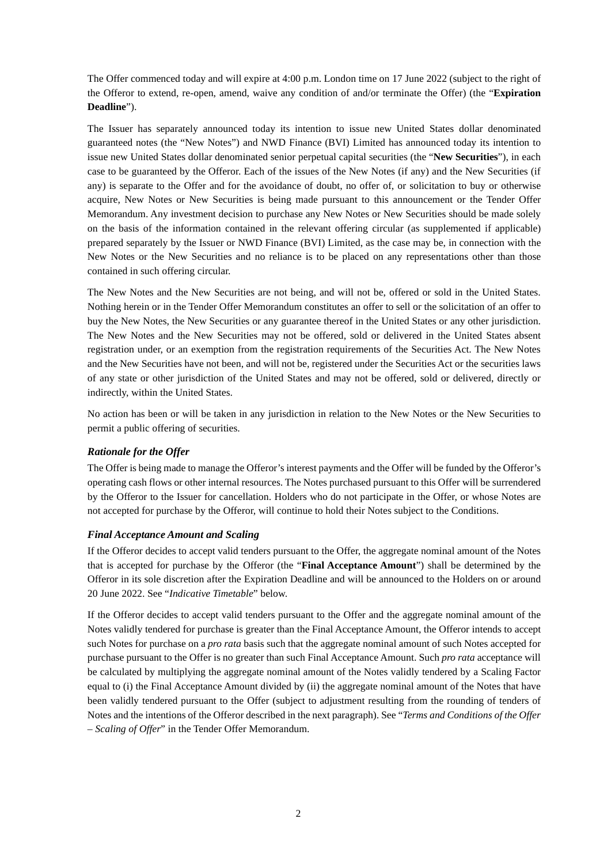The Offer commenced today and will expire at 4:00 p.m. London time on 17 June 2022 (subject to the right of the Offeror to extend, re-open, amend, waive any condition of and/or terminate the Offer) (the "**Expiration Deadline**").

The Issuer has separately announced today its intention to issue new United States dollar denominated guaranteed notes (the "New Notes") and NWD Finance (BVI) Limited has announced today its intention to issue new United States dollar denominated senior perpetual capital securities (the "**New Securities**"), in each case to be guaranteed by the Offeror. Each of the issues of the New Notes (if any) and the New Securities (if any) is separate to the Offer and for the avoidance of doubt, no offer of, or solicitation to buy or otherwise acquire, New Notes or New Securities is being made pursuant to this announcement or the Tender Offer Memorandum. Any investment decision to purchase any New Notes or New Securities should be made solely on the basis of the information contained in the relevant offering circular (as supplemented if applicable) prepared separately by the Issuer or NWD Finance (BVI) Limited, as the case may be, in connection with the New Notes or the New Securities and no reliance is to be placed on any representations other than those contained in such offering circular.

The New Notes and the New Securities are not being, and will not be, offered or sold in the United States. Nothing herein or in the Tender Offer Memorandum constitutes an offer to sell or the solicitation of an offer to buy the New Notes, the New Securities or any guarantee thereof in the United States or any other jurisdiction. The New Notes and the New Securities may not be offered, sold or delivered in the United States absent registration under, or an exemption from the registration requirements of the Securities Act. The New Notes and the New Securities have not been, and will not be, registered under the Securities Act or the securities laws of any state or other jurisdiction of the United States and may not be offered, sold or delivered, directly or indirectly, within the United States.

No action has been or will be taken in any jurisdiction in relation to the New Notes or the New Securities to permit a public offering of securities.

# *Rationale for the Offer*

The Offer is being made to manage the Offeror's interest payments and the Offer will be funded by the Offeror's operating cash flows or other internal resources. The Notes purchased pursuant to this Offer will be surrendered by the Offeror to the Issuer for cancellation. Holders who do not participate in the Offer, or whose Notes are not accepted for purchase by the Offeror, will continue to hold their Notes subject to the Conditions.

# *Final Acceptance Amount and Scaling*

If the Offeror decides to accept valid tenders pursuant to the Offer, the aggregate nominal amount of the Notes that is accepted for purchase by the Offeror (the "**Final Acceptance Amount**") shall be determined by the Offeror in its sole discretion after the Expiration Deadline and will be announced to the Holders on or around 20 June 2022. See "*Indicative Timetable*" below.

If the Offeror decides to accept valid tenders pursuant to the Offer and the aggregate nominal amount of the Notes validly tendered for purchase is greater than the Final Acceptance Amount, the Offeror intends to accept such Notes for purchase on a *pro rata* basis such that the aggregate nominal amount of such Notes accepted for purchase pursuant to the Offer is no greater than such Final Acceptance Amount. Such *pro rata* acceptance will be calculated by multiplying the aggregate nominal amount of the Notes validly tendered by a Scaling Factor equal to (i) the Final Acceptance Amount divided by (ii) the aggregate nominal amount of the Notes that have been validly tendered pursuant to the Offer (subject to adjustment resulting from the rounding of tenders of Notes and the intentions of the Offeror described in the next paragraph). See "*Terms and Conditions of the Offer – Scaling of Offer*" in the Tender Offer Memorandum.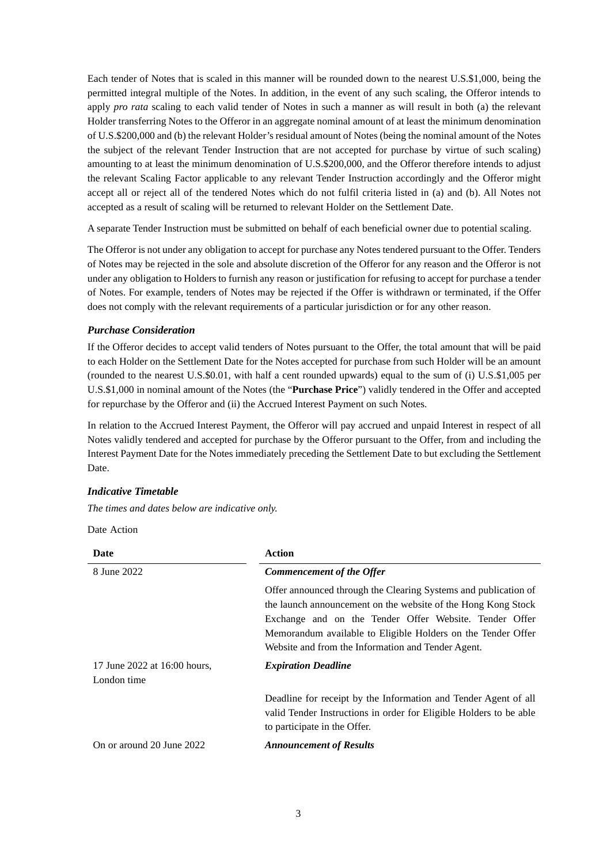Each tender of Notes that is scaled in this manner will be rounded down to the nearest U.S.\$1,000, being the permitted integral multiple of the Notes. In addition, in the event of any such scaling, the Offeror intends to apply *pro rata* scaling to each valid tender of Notes in such a manner as will result in both (a) the relevant Holder transferring Notes to the Offeror in an aggregate nominal amount of at least the minimum denomination of U.S.\$200,000 and (b) the relevant Holder's residual amount of Notes (being the nominal amount of the Notes the subject of the relevant Tender Instruction that are not accepted for purchase by virtue of such scaling) amounting to at least the minimum denomination of U.S.\$200,000, and the Offeror therefore intends to adjust the relevant Scaling Factor applicable to any relevant Tender Instruction accordingly and the Offeror might accept all or reject all of the tendered Notes which do not fulfil criteria listed in (a) and (b). All Notes not accepted as a result of scaling will be returned to relevant Holder on the Settlement Date.

A separate Tender Instruction must be submitted on behalf of each beneficial owner due to potential scaling.

The Offeror is not under any obligation to accept for purchase any Notes tendered pursuant to the Offer. Tenders of Notes may be rejected in the sole and absolute discretion of the Offeror for any reason and the Offeror is not under any obligation to Holders to furnish any reason or justification for refusing to accept for purchase a tender of Notes. For example, tenders of Notes may be rejected if the Offer is withdrawn or terminated, if the Offer does not comply with the relevant requirements of a particular jurisdiction or for any other reason.

#### *Purchase Consideration*

If the Offeror decides to accept valid tenders of Notes pursuant to the Offer, the total amount that will be paid to each Holder on the Settlement Date for the Notes accepted for purchase from such Holder will be an amount (rounded to the nearest U.S.\$0.01, with half a cent rounded upwards) equal to the sum of (i) U.S.\$1,005 per U.S.\$1,000 in nominal amount of the Notes (the "**Purchase Price**") validly tendered in the Offer and accepted for repurchase by the Offeror and (ii) the Accrued Interest Payment on such Notes.

In relation to the Accrued Interest Payment, the Offeror will pay accrued and unpaid Interest in respect of all Notes validly tendered and accepted for purchase by the Offeror pursuant to the Offer, from and including the Interest Payment Date for the Notes immediately preceding the Settlement Date to but excluding the Settlement Date.

# *Indicative Timetable*

*The times and dates below are indicative only.*

Date Action

| Date                                        | <b>Action</b>                                                                                                                                                                                                                                                                                                    |
|---------------------------------------------|------------------------------------------------------------------------------------------------------------------------------------------------------------------------------------------------------------------------------------------------------------------------------------------------------------------|
| 8 June 2022                                 | Commencement of the Offer                                                                                                                                                                                                                                                                                        |
|                                             | Offer announced through the Clearing Systems and publication of<br>the launch announcement on the website of the Hong Kong Stock<br>Exchange and on the Tender Offer Website. Tender Offer<br>Memorandum available to Eligible Holders on the Tender Offer<br>Website and from the Information and Tender Agent. |
| 17 June 2022 at 16:00 hours,<br>London time | <b>Expiration Deadline</b>                                                                                                                                                                                                                                                                                       |
|                                             | Deadline for receipt by the Information and Tender Agent of all<br>valid Tender Instructions in order for Eligible Holders to be able<br>to participate in the Offer.                                                                                                                                            |
| On or around 20 June 2022                   | <b>Announcement of Results</b>                                                                                                                                                                                                                                                                                   |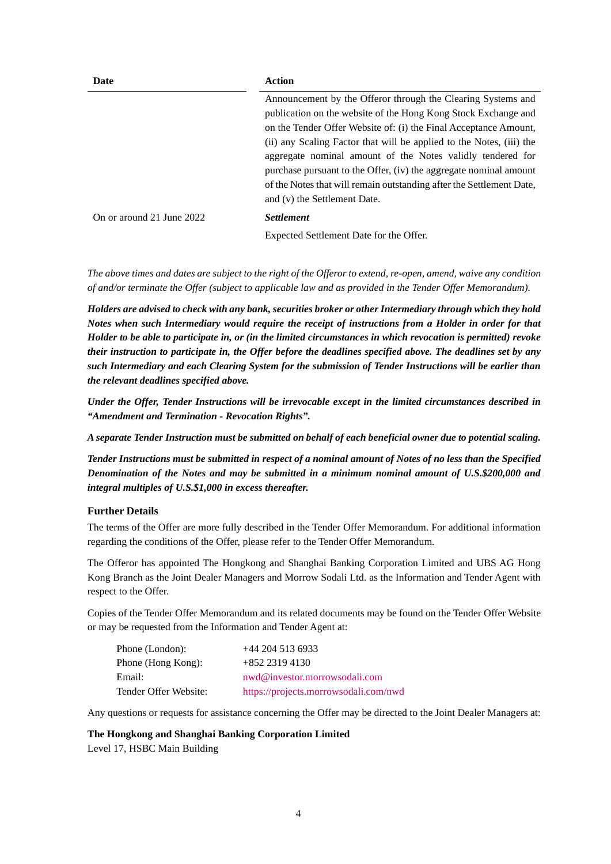| Date                      | <b>Action</b>                                                        |  |  |  |
|---------------------------|----------------------------------------------------------------------|--|--|--|
|                           | Announcement by the Offeror through the Clearing Systems and         |  |  |  |
|                           | publication on the website of the Hong Kong Stock Exchange and       |  |  |  |
|                           | on the Tender Offer Website of: (i) the Final Acceptance Amount,     |  |  |  |
|                           | (ii) any Scaling Factor that will be applied to the Notes, (iii) the |  |  |  |
|                           | aggregate nominal amount of the Notes validly tendered for           |  |  |  |
|                           | purchase pursuant to the Offer, (iv) the aggregate nominal amount    |  |  |  |
|                           | of the Notes that will remain outstanding after the Settlement Date, |  |  |  |
|                           | and (v) the Settlement Date.                                         |  |  |  |
| On or around 21 June 2022 | <i>Settlement</i>                                                    |  |  |  |
|                           | Expected Settlement Date for the Offer.                              |  |  |  |

*The above times and dates are subject to the right of the Offeror to extend, re-open, amend, waive any condition of and/or terminate the Offer (subject to applicable law and as provided in the Tender Offer Memorandum).*

*Holders are advised to check with any bank, securities broker or other Intermediary through which they hold Notes when such Intermediary would require the receipt of instructions from a Holder in order for that Holder to be able to participate in, or (in the limited circumstances in which revocation is permitted) revoke their instruction to participate in, the Offer before the deadlines specified above. The deadlines set by any such Intermediary and each Clearing System for the submission of Tender Instructions will be earlier than the relevant deadlines specified above.*

*Under the Offer, Tender Instructions will be irrevocable except in the limited circumstances described in "Amendment and Termination - Revocation Rights".*

*A separate Tender Instruction must be submitted on behalf of each beneficial owner due to potential scaling.*

*Tender Instructions must be submitted in respect of a nominal amount of Notes of no less than the Specified Denomination of the Notes and may be submitted in a minimum nominal amount of U.S.\$200,000 and integral multiples of U.S.\$1,000 in excess thereafter.*

#### **Further Details**

The terms of the Offer are more fully described in the Tender Offer Memorandum. For additional information regarding the conditions of the Offer, please refer to the Tender Offer Memorandum.

The Offeror has appointed The Hongkong and Shanghai Banking Corporation Limited and UBS AG Hong Kong Branch as the Joint Dealer Managers and Morrow Sodali Ltd. as the Information and Tender Agent with respect to the Offer.

Copies of the Tender Offer Memorandum and its related documents may be found on the Tender Offer Website or may be requested from the Information and Tender Agent at:

| Phone (London):       | $+44$ 204 513 6933                    |
|-----------------------|---------------------------------------|
| Phone (Hong Kong):    | $+852$ 2319 4130                      |
| Email:                | nwd@investor.morrowsodali.com         |
| Tender Offer Website: | https://projects.morrowsodali.com/nwd |

Any questions or requests for assistance concerning the Offer may be directed to the Joint Dealer Managers at:

#### **The Hongkong and Shanghai Banking Corporation Limited**

Level 17, HSBC Main Building